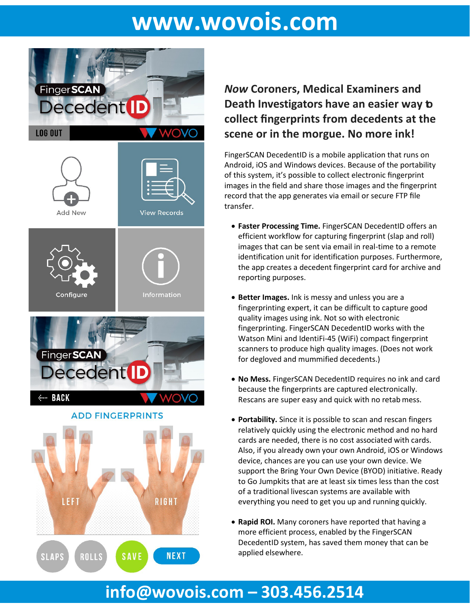# **[www.wovois.com](http://www.wovois.com/)**



### *Now* **Coroners, Medical Examiners and Death Investigators have an easier way to collect fingerprints from decedents at the scene or in the morgue. No more ink!**

FingerSCAN DecedentID is a mobile application that runs on Android, iOS and Windows devices. Because of the portability of this system, it's possible to collect electronic fingerprint images in the field and share those images and the fingerprint record that the app generates via email or secure FTP file transfer.

- **Faster Processing Time.** FingerSCAN DecedentID offers an efficient workflow for capturing fingerprint (slap and roll) images that can be sent via email in real-time to a remote identification unit for identification purposes. Furthermore, the app creates a decedent fingerprint card for archive and reporting purposes.
- **Better Images.** Ink is messy and unless you are a fingerprinting expert, it can be difficult to capture good quality images using ink. Not so with electronic fingerprinting. FingerSCAN DecedentID works with the Watson Mini and IdentiFi-45 (WiFi) compact fingerprint scanners to produce high quality images. (Does not work for degloved and mummified decedents.)
- **No Mess.** FingerSCAN DecedentID requires no ink and card because the fingerprints are captured electronically. Rescans are super easy and quick with no retab mess.
- **Portability.** Since it is possible to scan and rescan fingers relatively quickly using the electronic method and no hard cards are needed, there is no cost associated with cards. Also, if you already own your own Android, iOS or Windows device, chances are you can use your own device. We support the Bring Your Own Device (BYOD) initiative. Ready to Go Jumpkits that are at least six times less than the cost of a traditional livescan systems are available with everything you need to get you up and running quickly.
- **Rapid ROI.** Many coroners have reported that having a more efficient process, enabled by the FingerSCAN DecedentID system, has saved them money that can be applied elsewhere.

## **[info@wovois.com](mailto:info@wovois.com) – 303.456.2514**